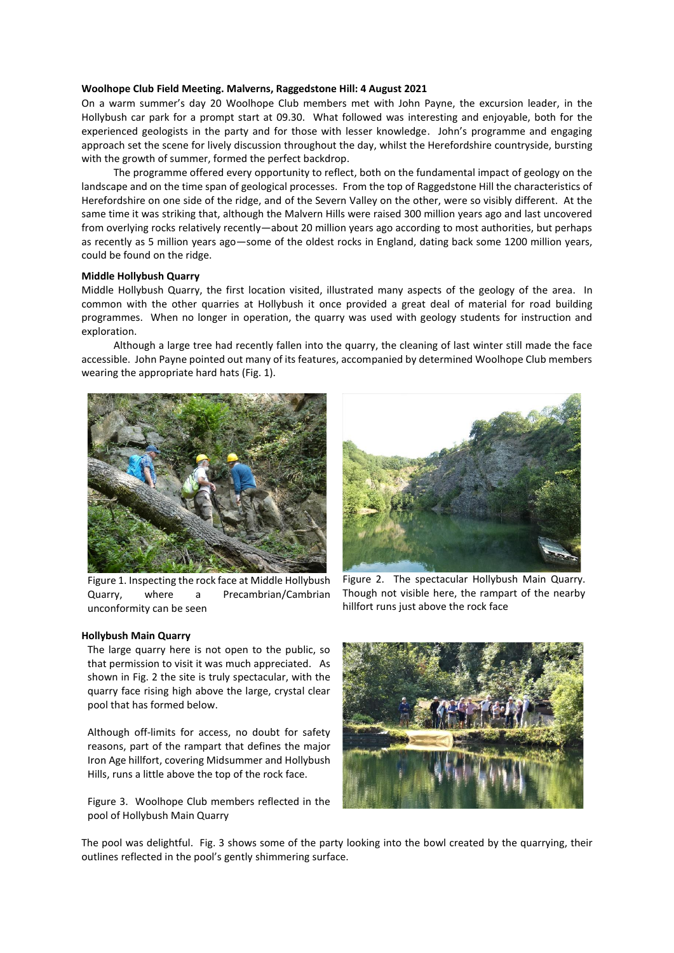### **Woolhope Club Field Meeting. Malverns, Raggedstone Hill: 4 August 2021**

On a warm summer's day 20 Woolhope Club members met with John Payne, the excursion leader, in the Hollybush car park for a prompt start at 09.30. What followed was interesting and enjoyable, both for the experienced geologists in the party and for those with lesser knowledge. John's programme and engaging approach set the scene for lively discussion throughout the day, whilst the Herefordshire countryside, bursting with the growth of summer, formed the perfect backdrop.

The programme offered every opportunity to reflect, both on the fundamental impact of geology on the landscape and on the time span of geological processes. From the top of Raggedstone Hill the characteristics of Herefordshire on one side of the ridge, and of the Severn Valley on the other, were so visibly different. At the same time it was striking that, although the Malvern Hills were raised 300 million years ago and last uncovered from overlying rocks relatively recently—about 20 million years ago according to most authorities, but perhaps as recently as 5 million years ago—some of the oldest rocks in England, dating back some 1200 million years, could be found on the ridge.

## **Middle Hollybush Quarry**

Middle Hollybush Quarry, the first location visited, illustrated many aspects of the geology of the area. In common with the other quarries at Hollybush it once provided a great deal of material for road building programmes. When no longer in operation, the quarry was used with geology students for instruction and exploration.

Although a large tree had recently fallen into the quarry, the cleaning of last winter still made the face accessible. John Payne pointed out many of its features, accompanied by determined Woolhope Club members wearing the appropriate hard hats (Fig. 1).



Figure 1. Inspecting the rock face at Middle Hollybush Quarry, where a Precambrian/Cambrian unconformity can be seen

### **Hollybush Main Quarry**

The large quarry here is not open to the public, so that permission to visit it was much appreciated. As shown in Fig. 2 the site is truly spectacular, with the quarry face rising high above the large, crystal clear pool that has formed below.

Although off-limits for access, no doubt for safety reasons, part of the rampart that defines the major Iron Age hillfort, covering Midsummer and Hollybush Hills, runs a little above the top of the rock face.

Figure 3. Woolhope Club members reflected in the pool of Hollybush Main Quarry



Figure 2. The spectacular Hollybush Main Quarry. Though not visible here, the rampart of the nearby hillfort runs just above the rock face



The pool was delightful. Fig. 3 shows some of the party looking into the bowl created by the quarrying, their outlines reflected in the pool's gently shimmering surface.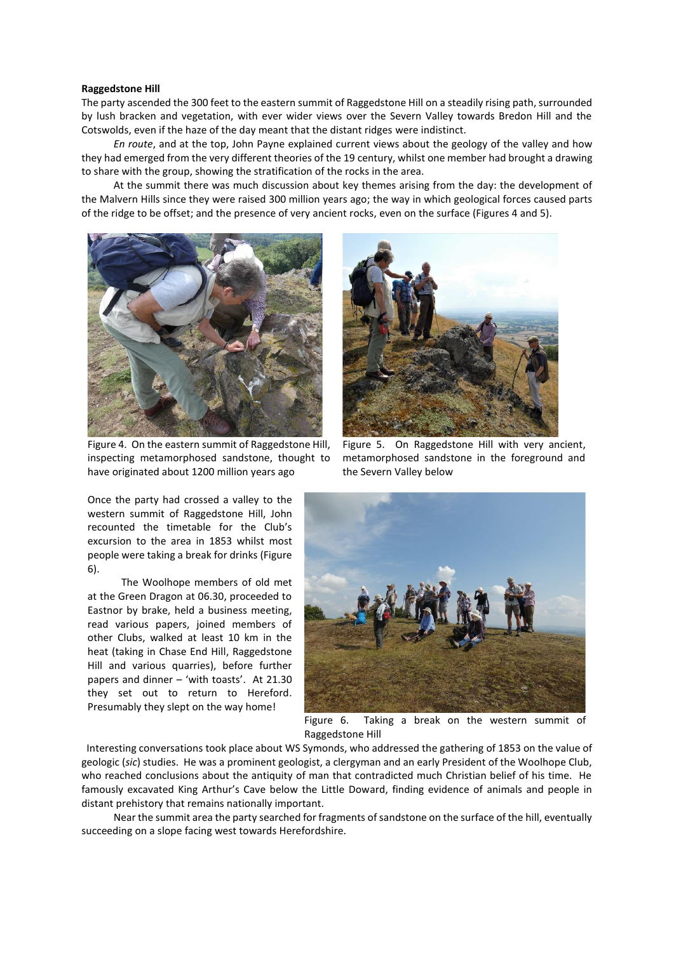#### **Raggedstone Hill**

The party ascended the 300 feet to the eastern summit of Raggedstone Hill on a steadily rising path, surrounded by lush bracken and vegetation, with ever wider views over the Severn Valley towards Bredon Hill and the Cotswolds, even if the haze of the day meant that the distant ridges were indistinct.

*En route*, and at the top, John Payne explained current views about the geology of the valley and how they had emerged from the very different theories of the 19 century, whilst one member had brought a drawing to share with the group, showing the stratification of the rocks in the area.

At the summit there was much discussion about key themes arising from the day: the development of the Malvern Hills since they were raised 300 million years ago; the way in which geological forces caused parts of the ridge to be offset; and the presence of very ancient rocks, even on the surface (Figures 4 and 5).



Figure 4. On the eastern summit of Raggedstone Hill, inspecting metamorphosed sandstone, thought to have originated about 1200 million years ago

Once the party had crossed a valley to the western summit of Raggedstone Hill, John recounted the timetable for the Club's excursion to the area in 1853 whilst most people were taking a break for drinks (Figure 6).

The Woolhope members of old met at the Green Dragon at 06.30, proceeded to Eastnor by brake, held a business meeting, read various papers, joined members of other Clubs, walked at least 10 km in the heat (taking in Chase End Hill, Raggedstone Hill and various quarries), before further papers and dinner – 'with toasts'. At 21.30 they set out to return to Hereford. Presumably they slept on the way home!



Figure 5. On Raggedstone Hill with very ancient, metamorphosed sandstone in the foreground and the Severn Valley below



Figure 6. Taking a break on the western summit of Raggedstone Hill

 Interesting conversations took place about WS Symonds, who addressed the gathering of 1853 on the value of geologic (*sic*) studies. He was a prominent geologist, a clergyman and an early President of the Woolhope Club, who reached conclusions about the antiquity of man that contradicted much Christian belief of his time. He famously excavated King Arthur's Cave below the Little Doward, finding evidence of animals and people in distant prehistory that remains nationally important.

Near the summit area the party searched for fragments of sandstone on the surface of the hill, eventually succeeding on a slope facing west towards Herefordshire.